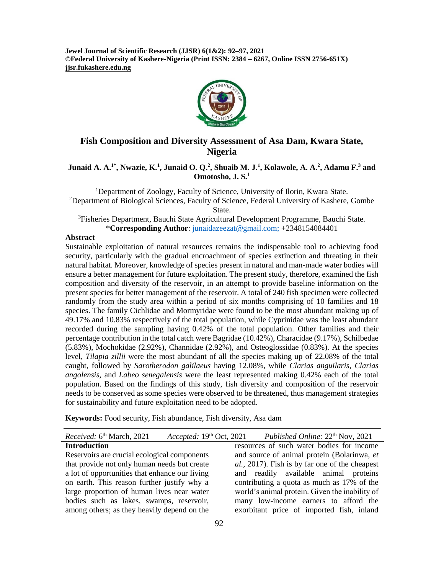**Jewel Journal of Scientific Research (JJSR) 6(1&2): 92–97, 2021 ©Federal University of Kashere-Nigeria (Print ISSN: 2384 – 6267, Online ISSN 2756-651X) jjsr.fukashere.edu.ng**



# **Fish Composition and Diversity Assessment of Asa Dam, Kwara State, Nigeria**

**Junaid A. A.1\*, Nwazie, K.<sup>1</sup> , Junaid O. Q.<sup>2</sup> , Shuaib M. J.<sup>1</sup> , Kolawole, A. A.<sup>2</sup> , Adamu F.<sup>3</sup> and Omotosho, J. S.<sup>1</sup>**

<sup>1</sup>Department of Zoology, Faculty of Science, University of Ilorin, Kwara State. <sup>2</sup>Department of Biological Sciences, Faculty of Science, Federal University of Kashere, Gombe State.

<sup>3</sup>Fisheries Department, Bauchi State Agricultural Development Programme, Bauchi State. \***Corresponding Author**: [junaidazeezat@gmail.com;](mailto:junaidazeezat@gmail.com) +2348154084401

### **Abstract**

Sustainable exploitation of natural resources remains the indispensable tool to achieving food security, particularly with the gradual encroachment of species extinction and threating in their natural habitat. Moreover, knowledge of species present in natural and man-made water bodies will ensure a better management for future exploitation. The present study, therefore, examined the fish composition and diversity of the reservoir, in an attempt to provide baseline information on the present species for better management of the reservoir. A total of 240 fish specimen were collected randomly from the study area within a period of six months comprising of 10 families and 18 species. The family Cichlidae and Mormyridae were found to be the most abundant making up of 49.17% and 10.83% respectively of the total population, while Cyprinidae was the least abundant recorded during the sampling having 0.42% of the total population. Other families and their percentage contribution in the total catch were Bagridae (10.42%), Characidae (9.17%), Schilbedae (5.83%), Mochokidae (2.92%), Channidae (2.92%), and Osteoglossidae (0.83%). At the species level, *Tilapia zillii* were the most abundant of all the species making up of 22.08% of the total caught, followed by *Sarotherodon galilaeus* having 12.08%, while *Clarias anguilaris*, *Clarias angolensis,* and *Labeo senegalensis* were the least represented making 0.42% each of the total population. Based on the findings of this study, fish diversity and composition of the reservoir needs to be conserved as some species were observed to be threatened, thus management strategies for sustainability and future exploitation need to be adopted.

**Keywords:** Food security, Fish abundance, Fish diversity, Asa dam

*Received:* 6 th March, 2021 *Accepted:* 19th Oct, 2021 *Published Online:* 22 Published Online: 22<sup>th</sup> Nov, 2021

#### **Introduction**

Reservoirs are crucial ecological components that provide not only human needs but create a lot of opportunities that enhance our living on earth. This reason further justify why a large proportion of human lives near water bodies such as lakes, swamps, reservoir, among others; as they heavily depend on the

resources of such water bodies for income and source of animal protein (Bolarinwa, *et al.,* 2017). Fish is by far one of the cheapest and readily available animal proteins contributing a quota as much as 17% of the world's animal protein. Given the inability of many low-income earners to afford the exorbitant price of imported fish, inland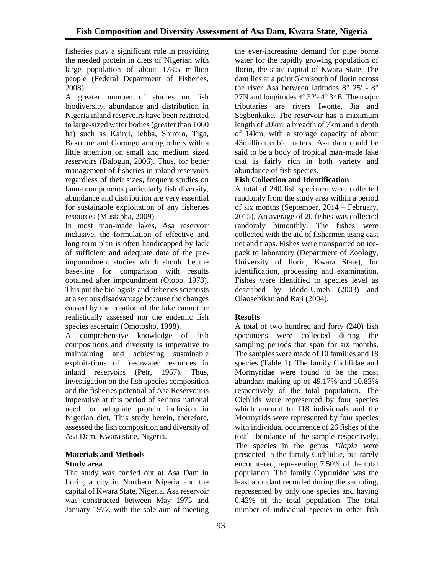fisheries play a significant role in providing the needed protein in diets of Nigerian with large population of about 178.5 million people (Federal Department of Fisheries, 2008).

A greater number of studies on fish biodiversity, abundance and distribution in Nigeria inland reservoirs have been restricted to large-sized water bodies (greater than 1000 ha) such as Kainii, Jebba, Shiroro, Tiga, Bakolore and Gorongo among others with a little attention on small and medium sized reservoirs (Balogun, 2006). Thus, for better management of fisheries in inland reservoirs regardless of their sizes, frequent studies on fauna components particularly fish diversity, abundance and distribution are very essential for sustainable exploitation of any fisheries resources (Mustapha, 2009).

In most man-made lakes, Asa reservoir inclusive, the formulation of effective and long term plan is often handicapped by lack of sufficient and adequate data of the preimpoundment studies which should be the base-line for comparison with results obtained after impoundment (Otobo, 1978). This put the biologists and fisheries scientists at a serious disadvantage because the changes caused by the creation of the lake cannot be realistically assessed nor the endemic fish species ascertain (Omotosho, 1998).

A comprehensive knowledge of fish compositions and diversity is imperative to maintaining and achieving sustainable exploitations of freshwater resources in inland reservoirs (Petr, 1967). Thus, investigation on the fish species composition and the fisheries potential of Asa Reservoir is imperative at this period of serious national need for adequate protein inclusion in Nigerian diet. This study herein, therefore, assessed the fish composition and diversity of Asa Dam, Kwara state, Nigeria.

# **Materials and Methods Study area**

The study was carried out at Asa Dam in Ilorin, a city in Northern Nigeria and the capital of Kwara State, Nigeria. Asa reservoir was constructed between May 1975 and January 1977, with the sole aim of meeting

the ever-increasing demand for pipe borne water for the rapidly growing population of Ilorin, the state capital of Kwara State. The dam lies at a point 5km south of Ilorin across the river Asa between latitudes 8° 25' - 8° 27N and longitudes 4° 32'- 4° 34E. The major tributaries are rivers Iwonte, Jia and Segbenkuke. The reservoir has a maximum length of 20km, a breadth of 7km and a depth of 14km, with a storage capacity of about 43million cubic meters. Asa dam could be said to be a body of tropical man-made lake that is fairly rich in both variety and abundance of fish species.

# **Fish Collection and Identification**

A total of 240 fish specimen were collected randomly from the study area within a period of six months (September, 2014 – February, 2015). An average of 20 fishes was collected randomly bimonthly. The fishes were collected with the aid of fishermen using cast net and traps. Fishes were transported on icepack to laboratory (Department of Zoology, University of Ilorin, Kwara State), for identification, processing and examination. Fishes were identified to species level as described by Idodo-Umeh (2003) and Olaosebikan and Raji (2004).

# **Results**

A total of two hundred and forty (240) fish specimens were collected during the sampling periods that span for six months. The samples were made of 10 families and 18 species (Table 1). The family Cichlidae and Mormyridae were found to be the most abundant making up of 49.17% and 10.83% respectively of the total population. The Cichlids were represented by four species which amount to 118 individuals and the Mormyrids were represented by four species with individual occurrence of 26 fishes of the total abundance of the sample respectively. The species in the genus *Tilapia* were presented in the family Cichlidae, but rarely encountered, representing 7.50% of the total population. The family Cyprinidae was the least abundant recorded during the sampling, represented by only one species and having 0.42% of the total population. The total number of individual species in other fish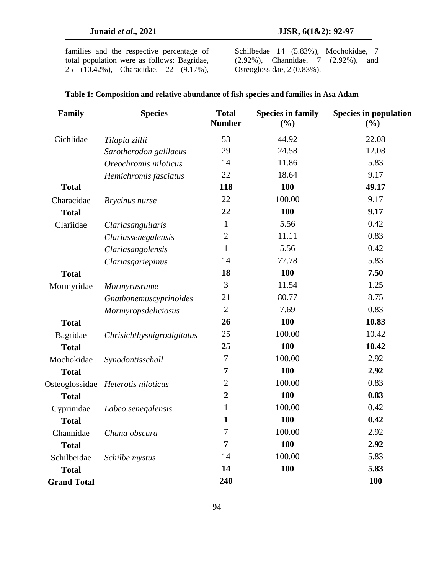families and the respective percentage of total population were as follows: Bagridae, 25 (10.42%), Characidae, 22 (9.17%), Schilbedae 14 (5.83%), Mochokidae, 7 (2.92%), Channidae, 7 (2.92%), and Osteoglossidae, 2 (0.83%).

| Family             | <b>Species</b>                     | <b>Total</b><br><b>Number</b> | <b>Species in family</b><br>(%) | <b>Species in population</b><br>(%) |
|--------------------|------------------------------------|-------------------------------|---------------------------------|-------------------------------------|
| Cichlidae          | Tilapia zillii                     | 53                            | 44.92                           | 22.08                               |
|                    | Sarotherodon galilaeus             | 29                            | 24.58                           | 12.08                               |
|                    | Oreochromis niloticus              | 14                            | 11.86                           | 5.83                                |
|                    | Hemichromis fasciatus              | 22                            | 18.64                           | 9.17                                |
| <b>Total</b>       |                                    | 118                           | 100                             | 49.17                               |
| Characidae         | Brycinus nurse                     | 22                            | 100.00                          | 9.17                                |
| <b>Total</b>       |                                    | 22                            | 100                             | 9.17                                |
| Clariidae          | Clariasanguilaris                  | $\mathbf{1}$                  | 5.56                            | 0.42                                |
|                    | Clariassenegalensis                | $\overline{2}$                | 11.11                           | 0.83                                |
|                    | Clariasangolensis                  | $\mathbf{1}$                  | 5.56                            | 0.42                                |
|                    | Clariasgariepinus                  | 14                            | 77.78                           | 5.83                                |
| <b>Total</b>       |                                    | 18                            | 100                             | 7.50                                |
| Mormyridae         | Mormyrusrume                       | 3                             | 11.54                           | 1.25                                |
|                    | Gnathonemuscyprinoides             | 21                            | 80.77                           | 8.75                                |
|                    | Mormyropsdeliciosus                | $\overline{2}$                | 7.69                            | 0.83                                |
| <b>Total</b>       |                                    | 26                            | 100                             | 10.83                               |
| Bagridae           | Chrisichthysnigrodigitatus         | 25                            | 100.00                          | 10.42                               |
| <b>Total</b>       |                                    | 25                            | 100                             | 10.42                               |
| Mochokidae         | Synodontisschall                   | $\overline{7}$                | 100.00                          | 2.92                                |
| <b>Total</b>       |                                    | 7                             | 100                             | 2.92                                |
|                    | Osteoglossidae Heterotis niloticus | $\overline{2}$                | 100.00                          | 0.83                                |
| <b>Total</b>       |                                    | $\boldsymbol{2}$              | 100                             | 0.83                                |
| Cyprinidae         | Labeo senegalensis                 | $\mathbf{1}$                  | 100.00                          | 0.42                                |
| <b>Total</b>       |                                    | 1                             | 100                             | 0.42                                |
| Channidae          | Chana obscura                      | $\boldsymbol{7}$              | 100.00                          | 2.92                                |
| <b>Total</b>       |                                    | $\overline{7}$                | 100                             | 2.92                                |
| Schilbeidae        | Schilbe mystus                     | 14                            | 100.00                          | 5.83                                |
| <b>Total</b>       |                                    | 14                            | 100                             | 5.83                                |
| <b>Grand Total</b> |                                    | 240                           |                                 | 100                                 |

### **Table 1: Composition and relative abundance of fish species and families in Asa Adam**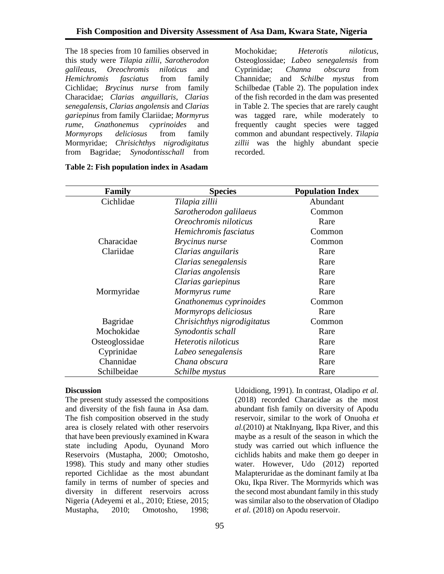The 18 species from 10 families observed in this study were *Tilapia zillii*, *Sarotherodon galileaus*, *Oreochromis niloticus* and *Hemichromis fasciatus* from family Cichlidae; *Brycinus nurse* from family Characidae; *Clarias anguillaris, Clarias senegalensis*, *Clarias angolensis* and *Clarias gariepinus* from family Clariidae; *Mormyrus rume*, *Gnathonemus cyprinoides* and *Mormyrops deliciosus* from family Mormyridae; *Chrisichthys nigrodigitatus* from Bagridae; *Synodontisschall* from

Mochokidae; *Heterotis niloticus,*  Osteoglossidae; *Labeo senegalensis* from Cyprinidae; *Channa obscura* from Channidae; and *Schilbe mystus* from Schilbedae (Table 2). The population index of the fish recorded in the dam was presented in Table 2. The species that are rarely caught was tagged rare, while moderately to frequently caught species were tagged common and abundant respectively. *Tilapia zillii* was the highly abundant specie recorded.

| Family         | <b>Species</b>              | <b>Population Index</b> |  |
|----------------|-----------------------------|-------------------------|--|
| Cichlidae      | Tilapia zillii              | Abundant                |  |
|                | Sarotherodon galilaeus      | Common                  |  |
|                | Oreochromis niloticus       | Rare                    |  |
|                | Hemichromis fasciatus       | Common                  |  |
| Characidae     | <i>Brycinus nurse</i>       | Common                  |  |
| Clariidae      | Clarias anguilaris          | Rare                    |  |
|                | Clarias senegalensis        | Rare                    |  |
|                | Clarias angolensis          | Rare                    |  |
|                | Clarias gariepinus          | Rare                    |  |
| Mormyridae     | Mormyrus rume               | Rare                    |  |
|                | Gnathonemus cyprinoides     | Common                  |  |
|                | Mormyrops deliciosus        | Rare                    |  |
| Bagridae       | Chrisichthys nigrodigitatus | Common                  |  |
| Mochokidae     | Synodontis schall           | Rare                    |  |
| Osteoglossidae | Heterotis niloticus         | Rare                    |  |
| Cyprinidae     | Labeo senegalensis          | Rare                    |  |
| Channidae      | Chana obscura               | Rare                    |  |
| Schilbeidae    | Schilbe mystus              | Rare                    |  |

|  |  |  |  | Table 2: Fish population index in Asadam |
|--|--|--|--|------------------------------------------|
|--|--|--|--|------------------------------------------|

#### **Discussion**

The present study assessed the compositions and diversity of the fish fauna in Asa dam. The fish composition observed in the study area is closely related with other reservoirs that have been previously examined in Kwara state including Apodu, Oyunand Moro Reservoirs (Mustapha, 2000; Omotosho, 1998). This study and many other studies reported Cichlidae as the most abundant family in terms of number of species and diversity in different reservoirs across Nigeria (Adeyemi et al., 2010; Etiese, 2015; Mustapha, 2010; Omotosho, 1998;

study was carried out which influence the cichlids habits and make them go deeper in water. However, Udo (2012) reported Malapteruridae as the dominant family at Iba Oku, Ikpa River. The Mormyrids which was the second most abundant family in this study was similar also to the observation of Oladipo *et al.* (2018) on Apodu reservoir.

Udoidiong, 1991). In contrast, Oladipo *et al.*  (2018) recorded Characidae as the most abundant fish family on diversity of Apodu reservoir, similar to the work of Onuoha *et al.*(2010) at NtakInyang, Ikpa River, and this maybe as a result of the season in which the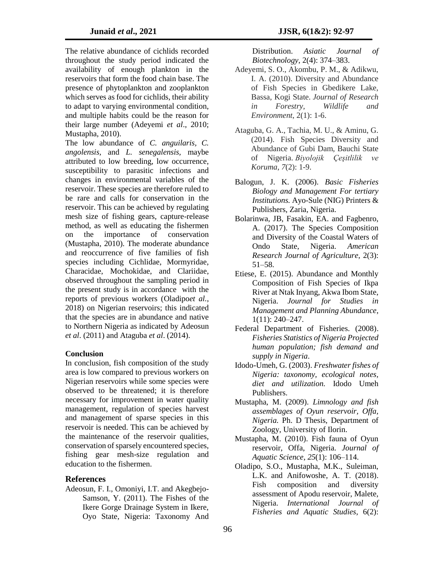The relative abundance of cichlids recorded throughout the study period indicated the availability of enough plankton in the reservoirs that form the food chain base. The presence of phytoplankton and zooplankton which serves as food for cichlids, their ability to adapt to varying environmental condition, and multiple habits could be the reason for their large number (Adeyemi *et al*., 2010; Mustapha, 2010).

The low abundance of *C. anguilaris, C. angolensis,* and *L. senegalensis,* maybe attributed to low breeding, low occurrence, susceptibility to parasitic infections and changes in environmental variables of the reservoir. These species are therefore ruled to be rare and calls for conservation in the reservoir. This can be achieved by regulating mesh size of fishing gears, capture-release method, as well as educating the fishermen on the importance of conservation (Mustapha, 2010). The moderate abundance and reoccurrence of five families of fish species including Cichlidae, Mormyridae, Characidae, Mochokidae, and Clariidae, observed throughout the sampling period in the present study is in accordance with the reports of previous workers (Oladipo*et al.*, 2018) on Nigerian reservoirs; this indicated that the species are in abundance and native to Northern Nigeria as indicated by Adeosun *et al*. (2011) and Ataguba *et al*. (2014).

### **Conclusion**

In conclusion, fish composition of the study area is low compared to previous workers on Nigerian reservoirs while some species were observed to be threatened; it is therefore necessary for improvement in water quality management, regulation of species harvest and management of sparse species in this reservoir is needed. This can be achieved by the maintenance of the reservoir qualities, conservation of sparsely encountered species, fishing gear mesh-size regulation and education to the fishermen.

#### **References**

Adeosun, F. I., Omoniyi, I.T. and Akegbejo-Samson, Y. (2011). The Fishes of the Ikere Gorge Drainage System in Ikere, Oyo State, Nigeria: Taxonomy And

Distribution. *Asiatic Journal of Biotechnology*, 2(4): 374–383.

- Adeyemi, S. O., Akombu, P. M., & Adikwu, I. A. (2010). Diversity and Abundance of Fish Species in Gbedikere Lake, Bassa, Kogi State. *Journal of Research in Forestry, Wildlife and Environment*, 2(1): 1-6.
- Ataguba, G. A., Tachia, M. U., & Aminu, G. (2014). Fish Species Diversity and Abundance of Gubi Dam, Bauchi State of Nigeria. *Biyolojik Çeşitlilik ve Koruma*, *7*(2): 1-9.
- Balogun, J. K. (2006). *Basic Fisheries Biology and Management For tertiary Institutions.* Ayo-Sule (NIG) Printers & Publishers, Zaria, Nigeria.
- Bolarinwa, JB, Fasakin, EA. and Fagbenro, A. (2017). The Species Composition and Diversity of the Coastal Waters of Ondo State, Nigeria. *American Research Journal of Agriculture*, 2(3): 51–58.
- Etiese, E. (2015). Abundance and Monthly Composition of Fish Species of Ikpa River at Ntak Inyang, Akwa Ibom State, Nigeria. *Journal for Studies in Management and Planning Abundance*, 1(11): 240–247.
- Federal Department of Fisheries. (2008). *Fisheries Statistics of Nigeria Projected human population; fish demand and supply in Nigeria*.
- Idodo-Umeh, G. (2003). *Freshwater fishes of Nigeria: taxonomy, ecological notes, diet and utilization.* Idodo Umeh Publishers.
- Mustapha, M. (2009). *Limnology and fish assemblages of Oyun reservoir, Offa, Nigeria.* Ph. D Thesis, Department of Zoology, University of Ilorin.
- Mustapha, M. (2010). Fish fauna of Oyun reservoir, Offa, Nigeria. *Journal of Aquatic Science*, *25*(1): 106–114.
- Oladipo, S.O., Mustapha, M.K., Suleiman, L.K. and Anifowoshe, A. T. (2018). Fish composition and diversity assessment of Apodu reservoir, Malete, Nigeria. *International Journal of Fisheries and Aquatic Studies*, 6(2):